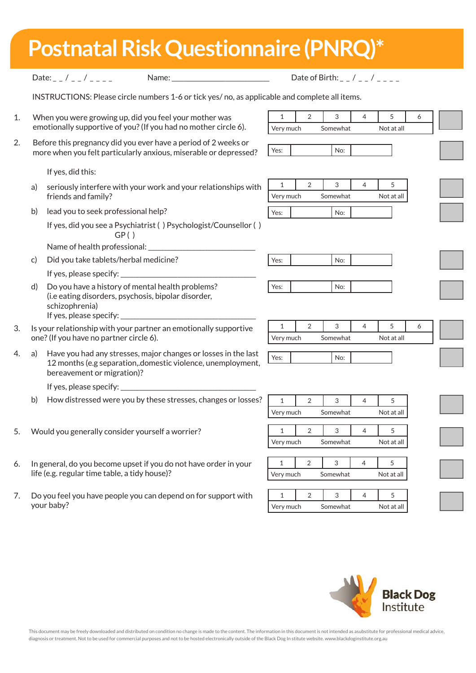| <b>Postnatal Risk Questionnaire (PNRQ)*</b> |
|---------------------------------------------|
|---------------------------------------------|

|    |                                                                                                                   | Date of Birth: $_{-}$ / $_{-}$ / $_{-}$ / $_{-}$ $_{-}$ $_{-}$<br>Date: $/$ /<br>Name:                                                                      |                           |           |                |               |                |  |                 |   |  |
|----|-------------------------------------------------------------------------------------------------------------------|-------------------------------------------------------------------------------------------------------------------------------------------------------------|---------------------------|-----------|----------------|---------------|----------------|--|-----------------|---|--|
|    |                                                                                                                   | INSTRUCTIONS: Please circle numbers 1-6 or tick yes/no, as applicable and complete all items.                                                               |                           |           |                |               |                |  |                 |   |  |
| 1. | When you were growing up, did you feel your mother was                                                            |                                                                                                                                                             |                           |           | $\overline{2}$ | 3             | $\overline{4}$ |  | 5               | 6 |  |
|    |                                                                                                                   | emotionally supportive of you? (If you had no mother circle 6).                                                                                             |                           |           | Very much      | Somewhat      |                |  | Not at all      |   |  |
| 2. |                                                                                                                   | Before this pregnancy did you ever have a period of 2 weeks or<br>more when you felt particularly anxious, miserable or depressed?                          | Yes:                      |           |                | No:           |                |  |                 |   |  |
|    |                                                                                                                   | If yes, did this:                                                                                                                                           |                           |           |                |               |                |  |                 |   |  |
|    | a)                                                                                                                | seriously interfere with your work and your relationships with<br>friends and family?                                                                       | $\mathbf{1}$<br>Very much |           | $\overline{2}$ | 3<br>Somewhat | $\overline{4}$ |  | 5<br>Not at all |   |  |
|    | b)                                                                                                                | lead you to seek professional help?                                                                                                                         | Yes:                      |           |                | No:           |                |  |                 |   |  |
|    |                                                                                                                   | If yes, did you see a Psychiatrist () Psychologist/Counsellor ()<br>GP()                                                                                    |                           |           |                |               |                |  |                 |   |  |
|    |                                                                                                                   |                                                                                                                                                             |                           |           |                |               |                |  |                 |   |  |
|    | c)                                                                                                                | Did you take tablets/herbal medicine?                                                                                                                       | Yes:                      |           |                | No:           |                |  |                 |   |  |
|    |                                                                                                                   | If yes, please specify: $\overline{\phantom{a}}$                                                                                                            |                           |           |                |               |                |  |                 |   |  |
|    | d)                                                                                                                | Do you have a history of mental health problems?<br>(i.e eating disorders, psychosis, bipolar disorder,<br>schizophrenia)<br>If yes, please specify:        | Yes:                      |           |                | No:           |                |  |                 |   |  |
| 3. | Is your relationship with your partner an emotionally supportive<br>one? (If you have no partner circle 6).       |                                                                                                                                                             |                           |           | 2              | 3             | $\overline{4}$ |  | 5               | 6 |  |
|    |                                                                                                                   |                                                                                                                                                             |                           | Very much |                | Somewhat      |                |  | Not at all      |   |  |
| 4. | a)                                                                                                                | Have you had any stresses, major changes or losses in the last<br>12 months (e.g separation, domestic violence, unemployment,<br>bereavement or migration)? | Yes:                      |           |                | No:           |                |  |                 |   |  |
|    |                                                                                                                   |                                                                                                                                                             |                           |           |                |               |                |  |                 |   |  |
|    |                                                                                                                   | If yes, please specify:                                                                                                                                     |                           |           |                |               |                |  |                 |   |  |
|    | b)                                                                                                                | How distressed were you by these stresses, changes or losses?                                                                                               | $\mathbf{1}$              |           | $\overline{2}$ | 3             | $\overline{4}$ |  | 5               |   |  |
|    |                                                                                                                   |                                                                                                                                                             | Very much                 |           |                | Somewhat      |                |  | Not at all      |   |  |
|    | Would you generally consider yourself a worrier?                                                                  |                                                                                                                                                             |                           |           | 2              | 3             | 4              |  | 5               |   |  |
|    |                                                                                                                   |                                                                                                                                                             |                           | Very much |                | Somewhat      |                |  | Not at all      |   |  |
| 6. | In general, do you become upset if you do not have order in your<br>life (e.g. regular time table, a tidy house)? |                                                                                                                                                             |                           |           | $\overline{2}$ | 3             | 4              |  | 5               |   |  |
|    |                                                                                                                   |                                                                                                                                                             |                           | Very much |                | Somewhat      |                |  | Not at all      |   |  |
|    |                                                                                                                   |                                                                                                                                                             | $\mathbf{1}$              |           |                |               |                |  |                 |   |  |
| 7. |                                                                                                                   | Do you feel you have people you can depend on for support with<br>your baby?                                                                                |                           | Very much | 2              | 3<br>Somewhat | $\overline{4}$ |  | 5<br>Not at all |   |  |
|    |                                                                                                                   |                                                                                                                                                             |                           |           |                |               |                |  |                 |   |  |

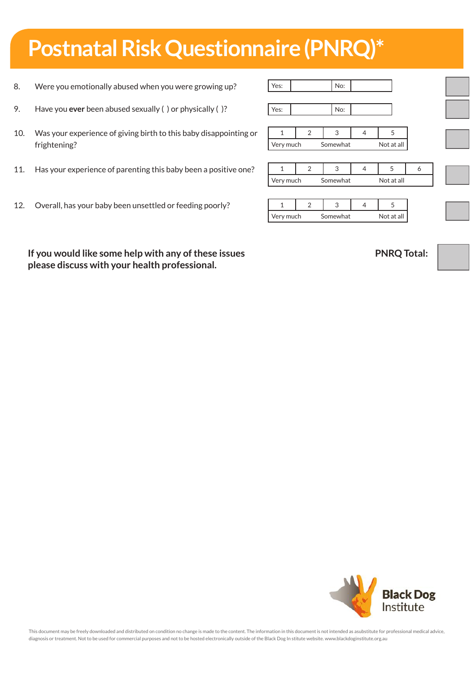## **Postnatal Risk Questionnaire (PNRQ)\***

- 8. Were you emotionally abused when you were growing up?
- 9. Have you **ever** been abused sexually ( ) or physically ( )?
- 10. Was your experience of giving birth to this baby disappointing or frightening?
- 11. Has your experience of parenting this baby been a positive one?
- 12. Overall, has your baby been unsettled or feeding poorly?

1 2 3 4 5 Very much Somewhat Not at all 1 2 3 4 5 6 Very much Somewhat Not at all 1 2 3 4 5 Very much Somewhat Not at all Yes: No:

Yes: No:

**If you would like some help with any of these issues please discuss with your health professional.**

**PNRQ Total:**